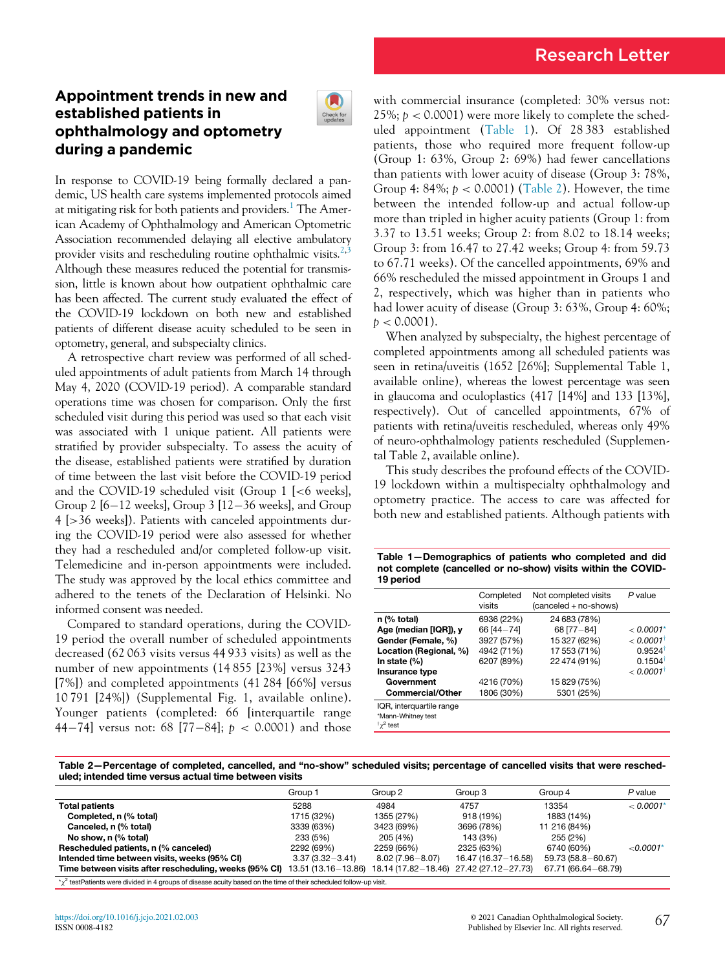# Appointment trends in new and established patients in ophthalmology and optometry during a pandemic



In response to COVID-19 being formally declared a pandemic, US health care systems implemented protocols aimed at mitigating risk for both patients and providers.<sup>1</sup> The American Academy of Ophthalmology and American Optometric Association recommended delaying all elective ambulatory provider visits and rescheduling routine ophthalmic visits. $2,3$  $2,3$ Although these measures reduced the potential for transmission, little is known about how outpatient ophthalmic care has been affected. The current study evaluated the effect of the COVID-19 lockdown on both new and established patients of different disease acuity scheduled to be seen in optometry, general, and subspecialty clinics.

A retrospective chart review was performed of all scheduled appointments of adult patients from March 14 through May 4, 2020 (COVID-19 period). A comparable standard operations time was chosen for comparison. Only the first scheduled visit during this period was used so that each visit was associated with 1 unique patient. All patients were stratified by provider subspecialty. To assess the acuity of the disease, established patients were stratified by duration of time between the last visit before the COVID-19 period and the COVID-19 scheduled visit (Group 1 [<6 weeks], Group 2  $[6-12$  weeks], Group 3  $[12-36$  weeks], and Group 4 [>36 weeks]). Patients with canceled appointments during the COVID-19 period were also assessed for whether they had a rescheduled and/or completed follow-up visit. Telemedicine and in-person appointments were included. The study was approved by the local ethics committee and adhered to the tenets of the Declaration of Helsinki. No informed consent was needed.

<span id="page-0-0"></span>Compared to standard operations, during the COVID-19 period the overall number of scheduled appointments decreased (62 063 visits versus 44 933 visits) as well as the number of new appointments (14 855 [23%] versus 3243 [7%]) and completed appointments (41 284 [66%] versus 10 791 [24%]) (Supplemental Fig. 1, available online). Younger patients (completed: 66 [interquartile range 44-74] versus not: 68 [77-84];  $p < 0.0001$ ) and those with commercial insurance (completed: 30% versus not: 25%;  $p < 0.0001$ ) were more likely to complete the scheduled appointment [\(Table 1\)](#page-0-0). Of 28 383 established patients, those who required more frequent follow-up (Group 1: 63%, Group 2: 69%) had fewer cancellations than patients with lower acuity of disease (Group 3: 78%, Group 4:  $84\%; p < 0.0001$ ) ([Table 2\)](#page-0-1). However, the time between the intended follow-up and actual follow-up more than tripled in higher acuity patients (Group 1: from 3.37 to 13.51 weeks; Group 2: from 8.02 to 18.14 weeks; Group 3: from 16.47 to 27.42 weeks; Group 4: from 59.73 to 67.71 weeks). Of the cancelled appointments, 69% and 66% rescheduled the missed appointment in Groups 1 and 2, respectively, which was higher than in patients who had lower acuity of disease (Group 3: 63%, Group 4: 60%;  $p < 0.0001$ ).

When analyzed by subspecialty, the highest percentage of completed appointments among all scheduled patients was seen in retina/uveitis (1652 [26%]; Supplemental Table 1, available online), whereas the lowest percentage was seen in glaucoma and oculoplastics (417 [14%] and 133 [13%], respectively). Out of cancelled appointments, 67% of patients with retina/uveitis rescheduled, whereas only 49% of neuro-ophthalmology patients rescheduled (Supplemental Table 2, available online).

This study describes the profound effects of the COVID-19 lockdown within a multispecialty ophthalmology and optometry practice. The access to care was affected for both new and established patients. Although patients with

Table 1—Demographics of patients who completed and did not complete (cancelled or no-show) visits within the COVID-19 period

|                                                                      | Completed<br>visits | Not completed visits<br>(canceled + no-shows) | P value               |
|----------------------------------------------------------------------|---------------------|-----------------------------------------------|-----------------------|
| n (% total)                                                          | 6936 (22%)          | 24 683 (78%)                                  |                       |
| Age (median [IQR]), y                                                | 66 [44-74]          | 68 [77-84]                                    | $< 0.0001*$           |
| Gender (Female, %)                                                   | 3927 (57%)          | 15 327 (62%)                                  | < 0.0001              |
| Location (Regional, %)                                               | 4942 (71%)          | 17 553 (71%)                                  | $0.9524$ <sup>t</sup> |
| In state $(\%)$                                                      | 6207 (89%)          | 22 474 (91%)                                  | $0.1504^{\dagger}$    |
| Insurance type                                                       |                     |                                               | $< 0.0001^{\dagger}$  |
| Government                                                           | 4216 (70%)          | 15 829 (75%)                                  |                       |
| <b>Commercial/Other</b>                                              | 1806 (30%)          | 5301 (25%)                                    |                       |
| IQR, interquartile range<br>*Mann-Whitney test<br>$\frac{1}{2}$ test |                     |                                               |                       |

<span id="page-0-2"></span><span id="page-0-1"></span>Table 2—Percentage of completed, cancelled, and "no-show" scheduled visits; percentage of cancelled visits that were rescheduled; intended time versus actual time between visits

|                                                                                                                              | Group 1               | Group 2             | Group 3               | Group 4               | P value     |  |
|------------------------------------------------------------------------------------------------------------------------------|-----------------------|---------------------|-----------------------|-----------------------|-------------|--|
| <b>Total patients</b>                                                                                                        | 5288                  | 4984                | 4757                  | 13354                 | < 0.0001'   |  |
| Completed, n (% total)                                                                                                       | 1715 (32%)            | 1355 (27%)          | 918 (19%)             | 1883 (14%)            |             |  |
| Canceled, n (% total)                                                                                                        | 3339 (63%)            | 3423 (69%)          | 3696 (78%)            | 11 216 (84%)          |             |  |
| No show, n (% total)                                                                                                         | 233 (5%)              | 205 (4%)            | 143 (3%)              | 255 (2%)              |             |  |
| Rescheduled patients, n (% canceled)                                                                                         | 2292 (69%)            | 2259 (66%)          | 2325 (63%)            | 6740 (60%)            | $< 0.0001*$ |  |
| Intended time between visits, weeks (95% CI)                                                                                 | $3.37(3.32 - 3.41)$   | $8.02(7.96 - 8.07)$ | 16.47 (16.37 - 16.58) | 59.73 (58.8-60.67)    |             |  |
| Time between visits after rescheduling, weeks (95% CI)                                                                       | 13.51 (13.16 - 13.86) | 18.14 (17.82-18.46) | 27.42 (27.12-27.73)   | 67.71 (66.64 - 68.79) |             |  |
| $\star \chi^2$ testPatients were divided in 4 groups of disease acuity based on the time of their scheduled follow-up visit. |                       |                     |                       |                       |             |  |

<span id="page-0-3"></span><https://doi.org/10.1016/j.jcjo.2021.02.003> ISSN 0008-4182